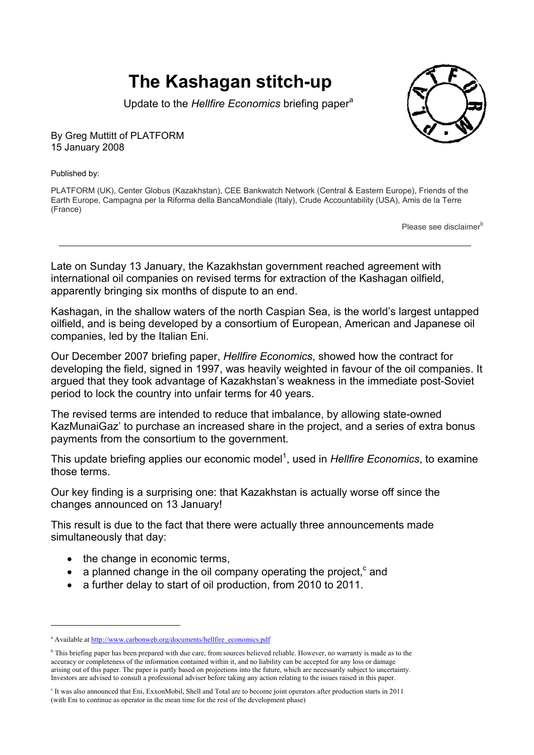# **The Kashagan stitch-up**

Upd[a](#page-0-0)te to the *Hellfire Economics* briefing paper<sup>a</sup>



Published by:

PLATFORM (UK), Center Globus (Kazakhstan), CEE Bankwatch Network (Central & Eastern Europe), Friends of the Earth Europe, Campagna per la Riforma della BancaMondiale (Italy), Crude Accountability (USA), Amis de la Terre (France)

Please see disclaimer<sup>[b](#page-0-1)</sup>

Late on Sunday 13 January, the Kazakhstan government reached agreement with international oil companies on revised terms for extraction of the Kashagan oilfield, apparently bringing six months of dispute to an end.

Kashagan, in the shallow waters of the north Caspian Sea, is the world's largest untapped oilfield, and is being developed by a consortium of European, American and Japanese oil companies, led by the Italian Eni.

Our December 2007 briefing paper, *Hellfire Economics*, showed how the contract for developing the field, signed in 1997, was heavily weighted in favour of the oil companies. It argued that they took advantage of Kazakhstan's weakness in the immediate post-Soviet period to lock the country into unfair terms for 40 years.

The revised terms are intended to reduce that imbalance, by allowing state-owned KazMunaiGaz' to purchase an increased share in the project, and a series of extra bonus payments from the consortium to the government.

This update briefing applies our economic model<sup>[1](#page-5-0)</sup>, used in *Hellfire Economics*, to examine those terms.

Our key finding is a surprising one: that Kazakhstan is actually worse off since the changes announced on 13 January!

This result is due to the fact that there were actually three announcements made simultaneously that day:

• the change in economic terms.

 $\overline{a}$ 

- a planned [c](#page-0-2)hange in the oil company operating the project, $c$  and
- a further delay to start of oil production, from 2010 to 2011.



<span id="page-0-0"></span><sup>&</sup>lt;sup>a</sup> Available at [http://www.carbonweb.org/documents/hellfire\\_economics.pdf](http://www.carbonweb.org/documents/hellfire_economics.pdf)

<span id="page-0-1"></span><sup>&</sup>lt;sup>b</sup> This briefing paper has been prepared with due care, from sources believed reliable. However, no warranty is made as to the accuracy or completeness of the information contained within it, and no liability can be accepted for any loss or damage arising out of this paper. The paper is partly based on projections into the future, which are necessarily subject to uncertainty. Investors are advised to consult a professional adviser before taking any action relating to the issues raised in this paper.

<span id="page-0-2"></span> $\rm\degree$  It was also announced that Eni, ExxonMobil, Shell and Total are to become joint operators after production starts in 2011 (with Eni to continue as operator in the mean time for the rest of the development phase)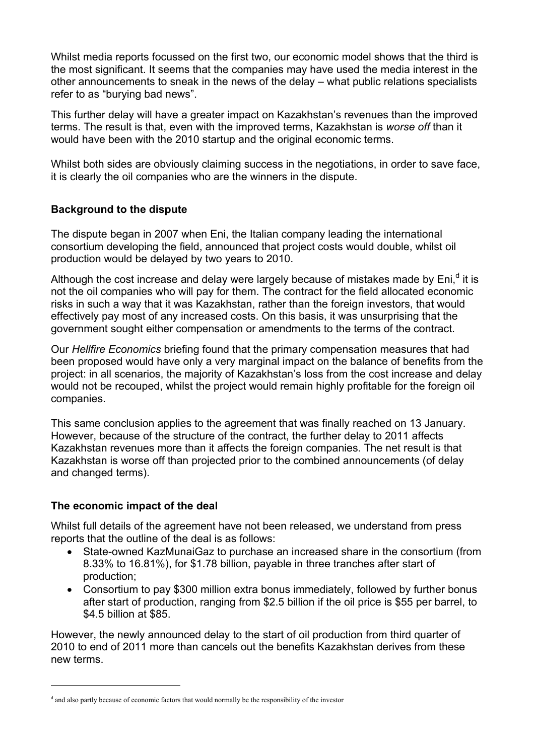Whilst media reports focussed on the first two, our economic model shows that the third is the most significant. It seems that the companies may have used the media interest in the other announcements to sneak in the news of the delay – what public relations specialists refer to as "burying bad news".

This further delay will have a greater impact on Kazakhstan's revenues than the improved terms. The result is that, even with the improved terms, Kazakhstan is *worse off* than it would have been with the 2010 startup and the original economic terms.

Whilst both sides are obviously claiming success in the negotiations, in order to save face, it is clearly the oil companies who are the winners in the dispute.

#### **Background to the dispute**

The dispute began in 2007 when Eni, the Italian company leading the international consortium developing the field, announced that project costs would double, whilst oil production would be delayed by two years to 2010.

Although the cost increase an[d](#page-1-0) delay were largely because of mistakes made by Eni,<sup>d</sup> it is not the oil companies who will pay for them. The contract for the field allocated economic risks in such a way that it was Kazakhstan, rather than the foreign investors, that would effectively pay most of any increased costs. On this basis, it was unsurprising that the government sought either compensation or amendments to the terms of the contract.

Our *Hellfire Economics* briefing found that the primary compensation measures that had been proposed would have only a very marginal impact on the balance of benefits from the project: in all scenarios, the majority of Kazakhstan's loss from the cost increase and delay would not be recouped, whilst the project would remain highly profitable for the foreign oil companies.

This same conclusion applies to the agreement that was finally reached on 13 January. However, because of the structure of the contract, the further delay to 2011 affects Kazakhstan revenues more than it affects the foreign companies. The net result is that Kazakhstan is worse off than projected prior to the combined announcements (of delay and changed terms).

## **The economic impact of the deal**

 $\overline{a}$ 

Whilst full details of the agreement have not been released, we understand from press reports that the outline of the deal is as follows:

- State-owned KazMunaiGaz to purchase an increased share in the consortium (from 8.33% to 16.81%), for \$1.78 billion, payable in three tranches after start of production;
- Consortium to pay \$300 million extra bonus immediately, followed by further bonus after start of production, ranging from \$2.5 billion if the oil price is \$55 per barrel, to \$4.5 billion at \$85.

However, the newly announced delay to the start of oil production from third quarter of 2010 to end of 2011 more than cancels out the benefits Kazakhstan derives from these new terms.

<span id="page-1-0"></span><sup>&</sup>lt;sup>d</sup> and also partly because of economic factors that would normally be the responsibility of the investor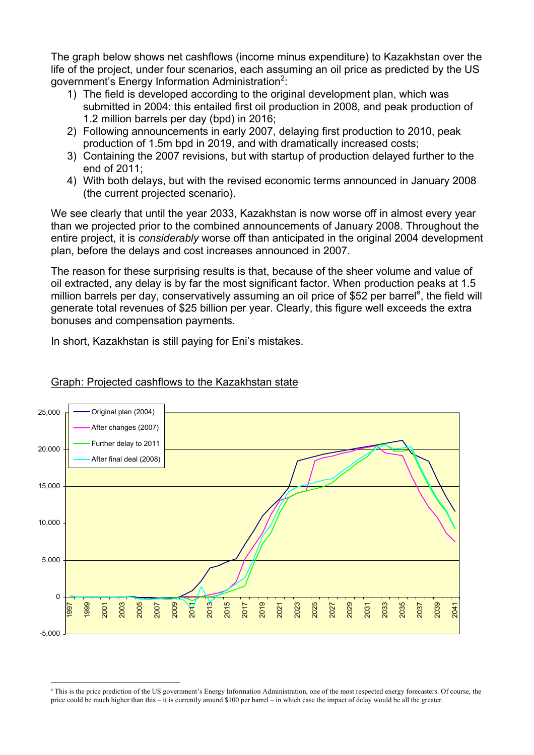The graph below shows net cashflows (income minus expenditure) to Kazakhstan over the life of the project, under four scenarios, each assuming an oil price as predicted by the US government's Energy Information Administration<sup>[2](#page-5-1)</sup>:

- 1) The field is developed according to the original development plan, which was submitted in 2004: this entailed first oil production in 2008, and peak production of 1.2 million barrels per day (bpd) in 2016;
- 2) Following announcements in early 2007, delaying first production to 2010, peak production of 1.5m bpd in 2019, and with dramatically increased costs;
- 3) Containing the 2007 revisions, but with startup of production delayed further to the end of 2011;
- 4) With both delays, but with the revised economic terms announced in January 2008 (the current projected scenario).

We see clearly that until the year 2033, Kazakhstan is now worse off in almost every year than we projected prior to the combined announcements of January 2008. Throughout the entire project, it is *considerably* worse off than anticipated in the original 2004 development plan, before the delays and cost increases announced in 2007.

The reason for these surprising results is that, because of the sheer volume and value of oil extracted, any delay is by far the most significant factor. When production peaks at 1.5 million barrels per day[,](#page-2-0) conservatively assuming an oil price of \$52 per barrel<sup>e</sup>, the field will generate total revenues of \$25 billion per year. Clearly, this figure well exceeds the extra bonuses and compensation payments.

In short, Kazakhstan is still paying for Eni's mistakes.



# Graph: Projected cashflows to the Kazakhstan state

<span id="page-2-0"></span> $\overline{a}$ <sup>e</sup> This is the price prediction of the US government's Energy Information Administration, one of the most respected energy forecasters. Of course, the price could be much higher than this – it is currently around \$100 per barrel – in which case the impact of delay would be all the greater.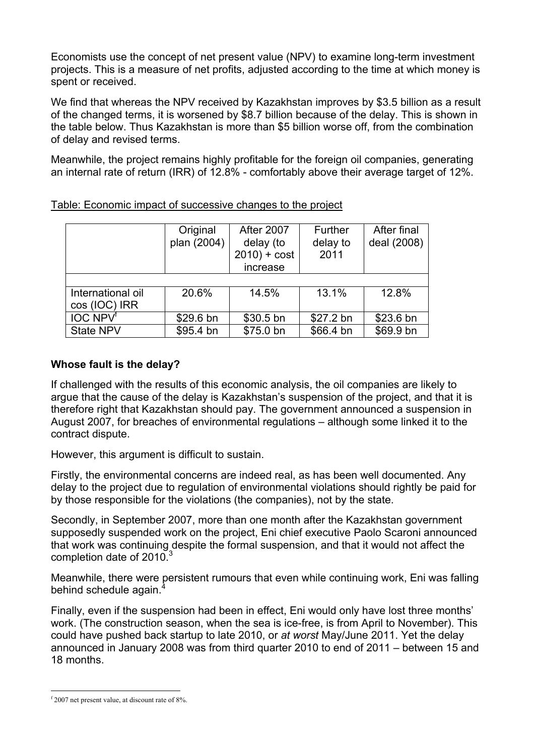Economists use the concept of net present value (NPV) to examine long-term investment projects. This is a measure of net profits, adjusted according to the time at which money is spent or received.

We find that whereas the NPV received by Kazakhstan improves by \$3.5 billion as a result of the changed terms, it is worsened by \$8.7 billion because of the delay. This is shown in the table below. Thus Kazakhstan is more than \$5 billion worse off, from the combination of delay and revised terms.

Meanwhile, the project remains highly profitable for the foreign oil companies, generating an internal rate of return (IRR) of 12.8% - comfortably above their average target of 12%.

|                                    | Original<br>plan (2004) | <b>After 2007</b><br>delay (to<br>$2010$ + $cost$<br>increase | Further<br>delay to<br>2011 | After final<br>deal (2008) |
|------------------------------------|-------------------------|---------------------------------------------------------------|-----------------------------|----------------------------|
| International oil<br>cos (IOC) IRR | 20.6%                   | 14.5%                                                         | 13.1%                       | 12.8%                      |
| <b>IOC NPV<sup>T</sup></b>         | \$29.6 bn               | $$30.5 \text{ bn}$                                            | \$27.2 bn                   | \$23.6 bn                  |
| <b>State NPV</b>                   | \$95.4 bn               | \$75.0 bn                                                     | \$66.4 bn                   | \$69.9 bn                  |

Table: Economic impact of successive changes to the project

## **Whose fault is the delay?**

If challenged with the results of this economic analysis, the oil companies are likely to argue that the cause of the delay is Kazakhstan's suspension of the project, and that it is therefore right that Kazakhstan should pay. The government announced a suspension in August 2007, for breaches of environmental regulations – although some linked it to the contract dispute.

However, this argument is difficult to sustain.

Firstly, the environmental concerns are indeed real, as has been well documented. Any delay to the project due to regulation of environmental violations should rightly be paid for by those responsible for the violations (the companies), not by the state.

Secondly, in September 2007, more than one month after the Kazakhstan government supposedly suspended work on the project, Eni chief executive Paolo Scaroni announced that work was continuing despite the formal suspension, and that it would not affect the completion date of  $2010<sup>3</sup>$  $2010<sup>3</sup>$  $2010<sup>3</sup>$ 

Meanwhile, there were persistent rumours that even while continuing work, Eni was falling behind schedule again.<sup>[4](#page-5-3)</sup>

Finally, even if the suspension had been in effect, Eni would only have lost three months' work. (The construction season, when the sea is ice-free, is from April to November). This could have pushed back startup to late 2010, or *at worst* May/June 2011. Yet the delay announced in January 2008 was from third quarter 2010 to end of 2011 – between 15 and 18 months.

<span id="page-3-0"></span> $\overline{a}$ f 2007 net present value, at discount rate of 8%.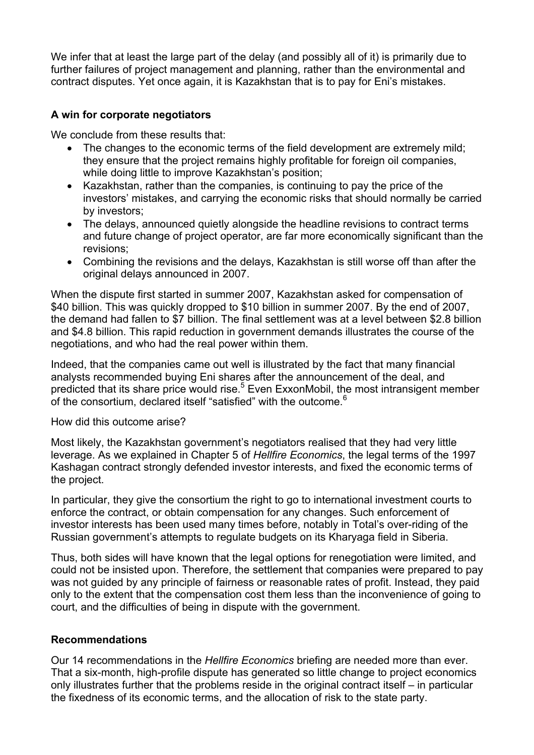We infer that at least the large part of the delay (and possibly all of it) is primarily due to further failures of project management and planning, rather than the environmental and contract disputes. Yet once again, it is Kazakhstan that is to pay for Eni's mistakes.

## **A win for corporate negotiators**

We conclude from these results that:

- The changes to the economic terms of the field development are extremely mild; they ensure that the project remains highly profitable for foreign oil companies, while doing little to improve Kazakhstan's position;
- Kazakhstan, rather than the companies, is continuing to pay the price of the investors' mistakes, and carrying the economic risks that should normally be carried by investors;
- The delays, announced quietly alongside the headline revisions to contract terms and future change of project operator, are far more economically significant than the revisions;
- Combining the revisions and the delays, Kazakhstan is still worse off than after the original delays announced in 2007.

When the dispute first started in summer 2007, Kazakhstan asked for compensation of \$40 billion. This was quickly dropped to \$10 billion in summer 2007. By the end of 2007, the demand had fallen to \$7 billion. The final settlement was at a level between \$2.8 billion and \$4.8 billion. This rapid reduction in government demands illustrates the course of the negotiations, and who had the real power within them.

Indeed, that the companies came out well is illustrated by the fact that many financial analysts recommended buying Eni shares after the announcement of the deal, and predicted that its share price would rise.<sup>[5](#page-5-4)</sup> Even ExxonMobil, the most intransigent member of the consortium, declared itself "satisfied" with the outcome.<sup>[6](#page-5-5)</sup>

#### How did this outcome arise?

Most likely, the Kazakhstan government's negotiators realised that they had very little leverage. As we explained in Chapter 5 of *Hellfire Economics*, the legal terms of the 1997 Kashagan contract strongly defended investor interests, and fixed the economic terms of the project.

In particular, they give the consortium the right to go to international investment courts to enforce the contract, or obtain compensation for any changes. Such enforcement of investor interests has been used many times before, notably in Total's over-riding of the Russian government's attempts to regulate budgets on its Kharyaga field in Siberia.

Thus, both sides will have known that the legal options for renegotiation were limited, and could not be insisted upon. Therefore, the settlement that companies were prepared to pay was not guided by any principle of fairness or reasonable rates of profit. Instead, they paid only to the extent that the compensation cost them less than the inconvenience of going to court, and the difficulties of being in dispute with the government.

#### **Recommendations**

Our 14 recommendations in the *Hellfire Economics* briefing are needed more than ever. That a six-month, high-profile dispute has generated so little change to project economics only illustrates further that the problems reside in the original contract itself – in particular the fixedness of its economic terms, and the allocation of risk to the state party.